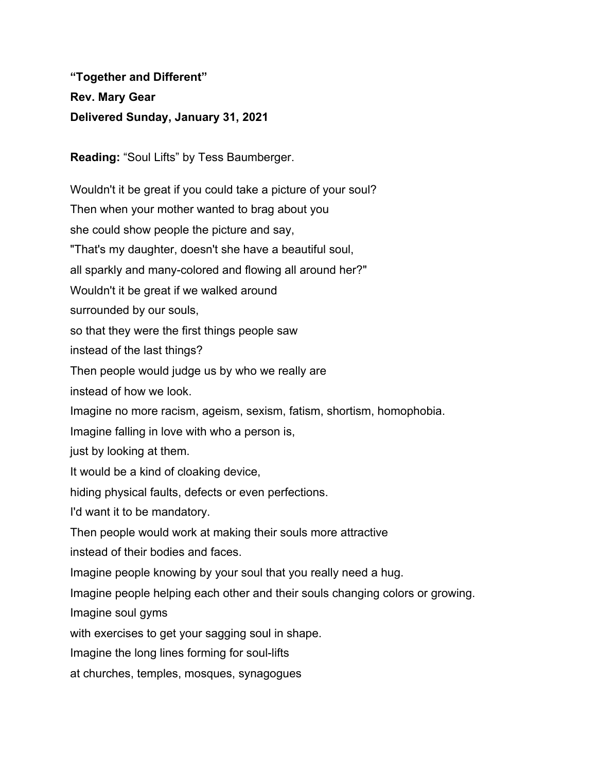**"Together and Different" Rev. Mary Gear Delivered Sunday, January 31, 2021**

**Reading:** "Soul Lifts" by Tess Baumberger.

Wouldn't it be great if you could take a picture of your soul? Then when your mother wanted to brag about you she could show people the picture and say, "That's my daughter, doesn't she have a beautiful soul, all sparkly and many-colored and flowing all around her?" Wouldn't it be great if we walked around surrounded by our souls, so that they were the first things people saw instead of the last things? Then people would judge us by who we really are instead of how we look. Imagine no more racism, ageism, sexism, fatism, shortism, homophobia. Imagine falling in love with who a person is, just by looking at them. It would be a kind of cloaking device, hiding physical faults, defects or even perfections. I'd want it to be mandatory. Then people would work at making their souls more attractive instead of their bodies and faces. Imagine people knowing by your soul that you really need a hug. Imagine people helping each other and their souls changing colors or growing. Imagine soul gyms with exercises to get your sagging soul in shape. Imagine the long lines forming for soul-lifts

at churches, temples, mosques, synagogues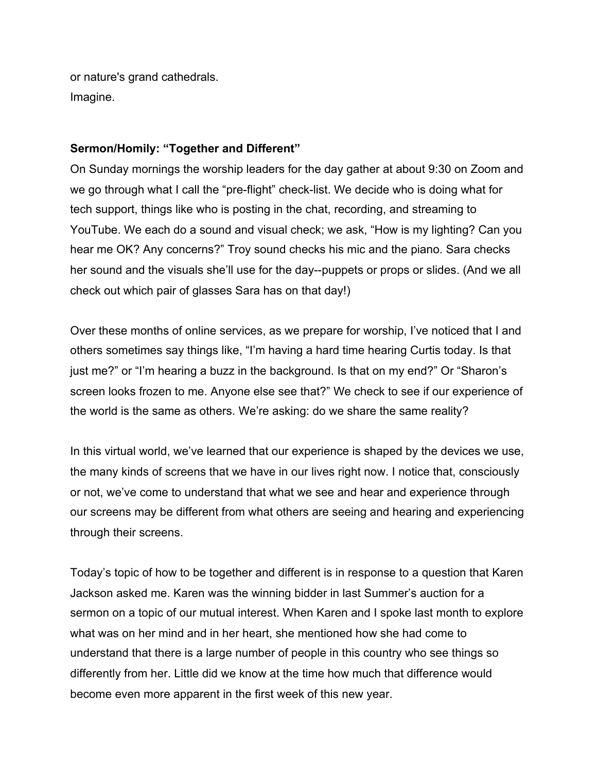or nature's grand cathedrals. Imagine.

## **Sermon/Homily: "Together and Different"**

On Sunday mornings the worship leaders for the day gather at about 9:30 on Zoom and we go through what I call the "pre-flight" check-list. We decide who is doing what for tech support, things like who is posting in the chat, recording, and streaming to YouTube. We each do a sound and visual check; we ask, "How is my lighting? Can you hear me OK? Any concerns?" Troy sound checks his mic and the piano. Sara checks her sound and the visuals she'll use for the day--puppets or props or slides. (And we all check out which pair of glasses Sara has on that day!)

Over these months of online services, as we prepare for worship, I've noticed that I and others sometimes say things like, "I'm having a hard time hearing Curtis today. Is that just me?" or "I'm hearing a buzz in the background. Is that on my end?" Or "Sharon's screen looks frozen to me. Anyone else see that?" We check to see if our experience of the world is the same as others. We're asking: do we share the same reality?

In this virtual world, we've learned that our experience is shaped by the devices we use, the many kinds of screens that we have in our lives right now. I notice that, consciously or not, we've come to understand that what we see and hear and experience through our screens may be different from what others are seeing and hearing and experiencing through their screens.

Today's topic of how to be together and different is in response to a question that Karen Jackson asked me. Karen was the winning bidder in last Summer's auction for a sermon on a topic of our mutual interest. When Karen and I spoke last month to explore what was on her mind and in her heart, she mentioned how she had come to understand that there is a large number of people in this country who see things so differently from her. Little did we know at the time how much that difference would become even more apparent in the first week of this new year.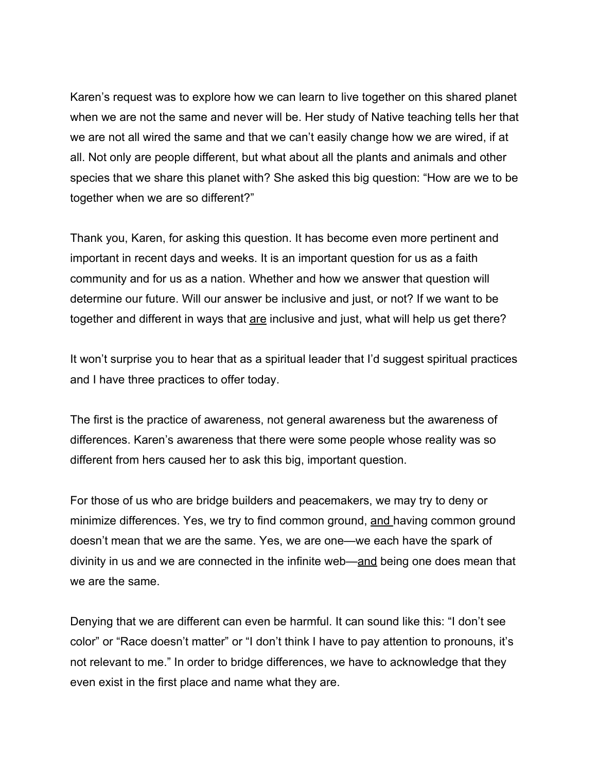Karen's request was to explore how we can learn to live together on this shared planet when we are not the same and never will be. Her study of Native teaching tells her that we are not all wired the same and that we can't easily change how we are wired, if at all. Not only are people different, but what about all the plants and animals and other species that we share this planet with? She asked this big question: "How are we to be together when we are so different?"

Thank you, Karen, for asking this question. It has become even more pertinent and important in recent days and weeks. It is an important question for us as a faith community and for us as a nation. Whether and how we answer that question will determine our future. Will our answer be inclusive and just, or not? If we want to be together and different in ways that are inclusive and just, what will help us get there?

It won't surprise you to hear that as a spiritual leader that I'd suggest spiritual practices and I have three practices to offer today.

The first is the practice of awareness, not general awareness but the awareness of differences. Karen's awareness that there were some people whose reality was so different from hers caused her to ask this big, important question.

For those of us who are bridge builders and peacemakers, we may try to deny or minimize differences. Yes, we try to find common ground, and having common ground doesn't mean that we are the same. Yes, we are one—we each have the spark of divinity in us and we are connected in the infinite web—and being one does mean that we are the same.

Denying that we are different can even be harmful. It can sound like this: "I don't see color" or "Race doesn't matter" or "I don't think I have to pay attention to pronouns, it's not relevant to me." In order to bridge differences, we have to acknowledge that they even exist in the first place and name what they are.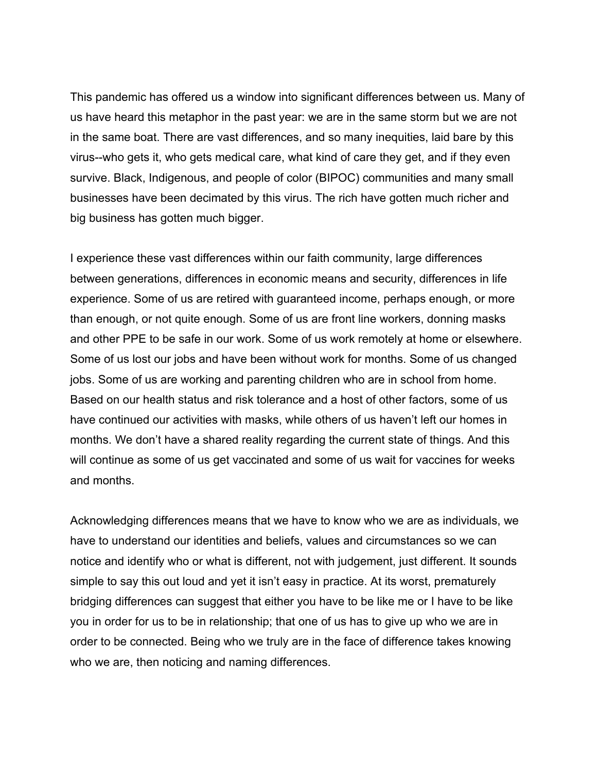This pandemic has offered us a window into significant differences between us. Many of us have heard this metaphor in the past year: we are in the same storm but we are not in the same boat. There are vast differences, and so many inequities, laid bare by this virus--who gets it, who gets medical care, what kind of care they get, and if they even survive. Black, Indigenous, and people of color (BIPOC) communities and many small businesses have been decimated by this virus. The rich have gotten much richer and big business has gotten much bigger.

I experience these vast differences within our faith community, large differences between generations, differences in economic means and security, differences in life experience. Some of us are retired with guaranteed income, perhaps enough, or more than enough, or not quite enough. Some of us are front line workers, donning masks and other PPE to be safe in our work. Some of us work remotely at home or elsewhere. Some of us lost our jobs and have been without work for months. Some of us changed jobs. Some of us are working and parenting children who are in school from home. Based on our health status and risk tolerance and a host of other factors, some of us have continued our activities with masks, while others of us haven't left our homes in months. We don't have a shared reality regarding the current state of things. And this will continue as some of us get vaccinated and some of us wait for vaccines for weeks and months.

Acknowledging differences means that we have to know who we are as individuals, we have to understand our identities and beliefs, values and circumstances so we can notice and identify who or what is different, not with judgement, just different. It sounds simple to say this out loud and yet it isn't easy in practice. At its worst, prematurely bridging differences can suggest that either you have to be like me or I have to be like you in order for us to be in relationship; that one of us has to give up who we are in order to be connected. Being who we truly are in the face of difference takes knowing who we are, then noticing and naming differences.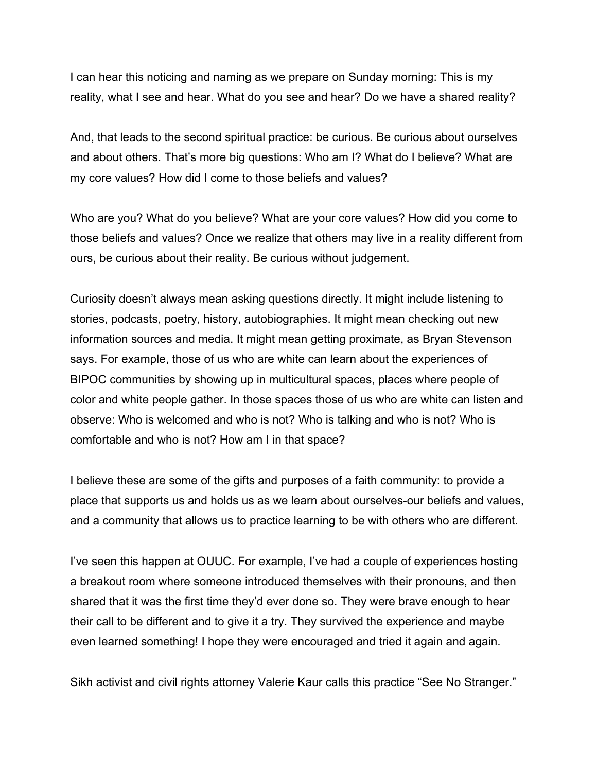I can hear this noticing and naming as we prepare on Sunday morning: This is my reality, what I see and hear. What do you see and hear? Do we have a shared reality?

And, that leads to the second spiritual practice: be curious. Be curious about ourselves and about others. That's more big questions: Who am I? What do I believe? What are my core values? How did I come to those beliefs and values?

Who are you? What do you believe? What are your core values? How did you come to those beliefs and values? Once we realize that others may live in a reality different from ours, be curious about their reality. Be curious without judgement.

Curiosity doesn't always mean asking questions directly. It might include listening to stories, podcasts, poetry, history, autobiographies. It might mean checking out new information sources and media. It might mean getting proximate, as Bryan Stevenson says. For example, those of us who are white can learn about the experiences of BIPOC communities by showing up in multicultural spaces, places where people of color and white people gather. In those spaces those of us who are white can listen and observe: Who is welcomed and who is not? Who is talking and who is not? Who is comfortable and who is not? How am I in that space?

I believe these are some of the gifts and purposes of a faith community: to provide a place that supports us and holds us as we learn about ourselves-our beliefs and values, and a community that allows us to practice learning to be with others who are different.

I've seen this happen at OUUC. For example, I've had a couple of experiences hosting a breakout room where someone introduced themselves with their pronouns, and then shared that it was the first time they'd ever done so. They were brave enough to hear their call to be different and to give it a try. They survived the experience and maybe even learned something! I hope they were encouraged and tried it again and again.

Sikh activist and civil rights attorney Valerie Kaur calls this practice "See No Stranger."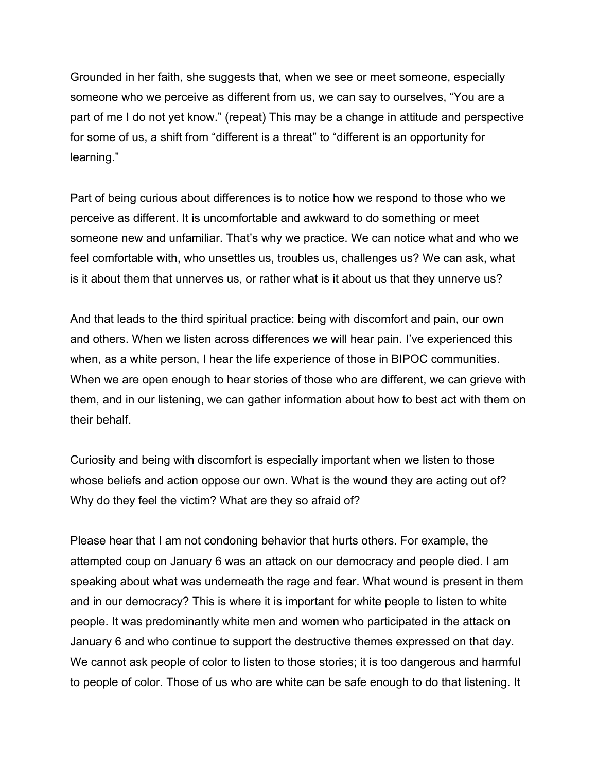Grounded in her faith, she suggests that, when we see or meet someone, especially someone who we perceive as different from us, we can say to ourselves, "You are a part of me I do not yet know." (repeat) This may be a change in attitude and perspective for some of us, a shift from "different is a threat" to "different is an opportunity for learning."

Part of being curious about differences is to notice how we respond to those who we perceive as different. It is uncomfortable and awkward to do something or meet someone new and unfamiliar. That's why we practice. We can notice what and who we feel comfortable with, who unsettles us, troubles us, challenges us? We can ask, what is it about them that unnerves us, or rather what is it about us that they unnerve us?

And that leads to the third spiritual practice: being with discomfort and pain, our own and others. When we listen across differences we will hear pain. I've experienced this when, as a white person, I hear the life experience of those in BIPOC communities. When we are open enough to hear stories of those who are different, we can grieve with them, and in our listening, we can gather information about how to best act with them on their behalf.

Curiosity and being with discomfort is especially important when we listen to those whose beliefs and action oppose our own. What is the wound they are acting out of? Why do they feel the victim? What are they so afraid of?

Please hear that I am not condoning behavior that hurts others. For example, the attempted coup on January 6 was an attack on our democracy and people died. I am speaking about what was underneath the rage and fear. What wound is present in them and in our democracy? This is where it is important for white people to listen to white people. It was predominantly white men and women who participated in the attack on January 6 and who continue to support the destructive themes expressed on that day. We cannot ask people of color to listen to those stories; it is too dangerous and harmful to people of color. Those of us who are white can be safe enough to do that listening. It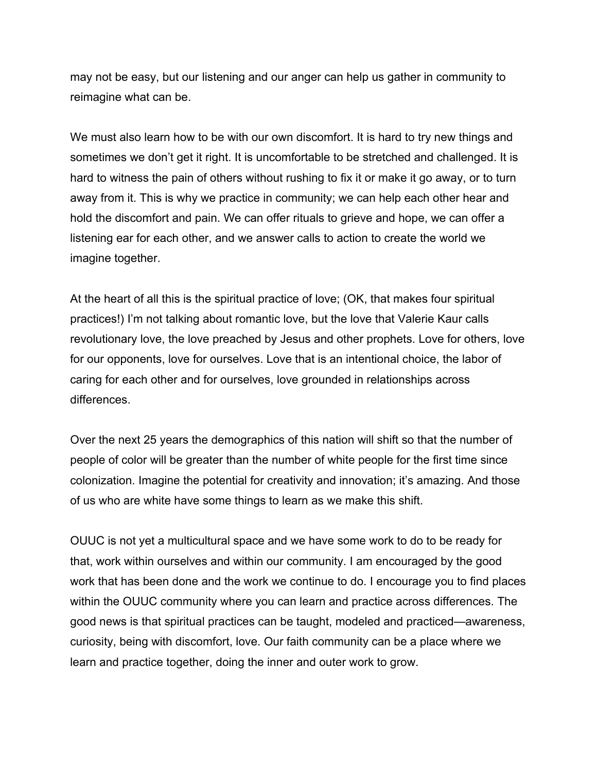may not be easy, but our listening and our anger can help us gather in community to reimagine what can be.

We must also learn how to be with our own discomfort. It is hard to try new things and sometimes we don't get it right. It is uncomfortable to be stretched and challenged. It is hard to witness the pain of others without rushing to fix it or make it go away, or to turn away from it. This is why we practice in community; we can help each other hear and hold the discomfort and pain. We can offer rituals to grieve and hope, we can offer a listening ear for each other, and we answer calls to action to create the world we imagine together.

At the heart of all this is the spiritual practice of love; (OK, that makes four spiritual practices!) I'm not talking about romantic love, but the love that Valerie Kaur calls revolutionary love, the love preached by Jesus and other prophets. Love for others, love for our opponents, love for ourselves. Love that is an intentional choice, the labor of caring for each other and for ourselves, love grounded in relationships across differences.

Over the next 25 years the demographics of this nation will shift so that the number of people of color will be greater than the number of white people for the first time since colonization. Imagine the potential for creativity and innovation; it's amazing. And those of us who are white have some things to learn as we make this shift.

OUUC is not yet a multicultural space and we have some work to do to be ready for that, work within ourselves and within our community. I am encouraged by the good work that has been done and the work we continue to do. I encourage you to find places within the OUUC community where you can learn and practice across differences. The good news is that spiritual practices can be taught, modeled and practiced—awareness, curiosity, being with discomfort, love. Our faith community can be a place where we learn and practice together, doing the inner and outer work to grow.